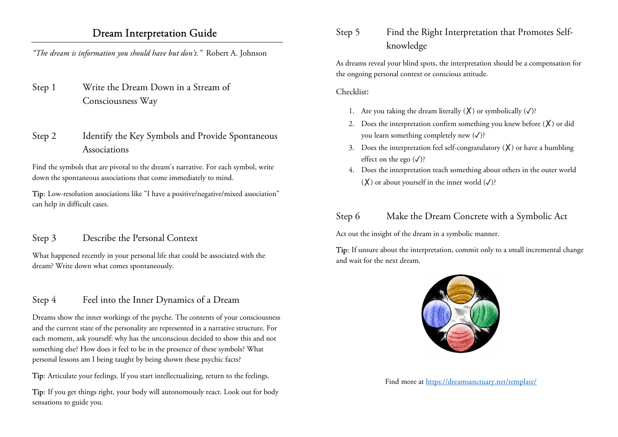# Dream Interpretation Guide

"The dream is information you should have but don't." Robert A. Johnson

- Step 1 Write the Dream Down in a Stream of Consciousness Way
- Step 2 Identify the Key Symbols and Provide Spontaneous Associations

Find the symbols that are pivotal to the dream's narrative. For each symbol, write down the spontaneous associations that come immediately to mind.

Tip: Low-resolution associations like "I have a positive/negative/mixed association" can help in difficult cases.

## Step 3 Describe the Personal Context

What happened recently in your personal life that could be associated with the dream? Write down what comes spontaneously.

# Step 4 Feel into the Inner Dynamics of a Dream

Dreams show the inner workings of the psyche. The contents of your consciousness and the current state of the personality are represented in a narrative structure. For each moment, ask yourself: why has the unconscious decided to show this and not something else? How does it feel to be in the presence of these symbols? What personal lessons am I being taught by being shown these psychic facts?

Tip: Articulate your feelings. If you start intellectualizing, return to the feelings.

Tip: If you get things right, your body will autonomously react. Look out for body sensations to guide you.

Step 5 Find the Right Interpretation that Promotes Selfknowledge

As dreams reveal your blind spots, the interpretation should be a compensation for the ongoing personal context or conscious attitude.

### Checklist:

- 1. Are you taking the dream literally  $(X)$  or symbolically  $(\checkmark)$ ?
- 2. Does the interpretation confirm something you knew before  $(X)$  or did you learn something completely new  $(\checkmark)$ ?
- 3. Does the interpretation feel self-congratulatory  $(X)$  or have a humbling effect on the ego  $(\checkmark)$ ?
- 4. Does the interpretation teach something about others in the outer world  $(\mathsf{X})$  or about yourself in the inner world  $(\checkmark)$ ?

# Step 6 Make the Dream Concrete with a Symbolic Act

Act out the insight of the dream in a symbolic manner.

Tip: If unsure about the interpretation, commit only to a small incremental change and wait for the next dream.



Find more at https://dreamsanctuary.net/template/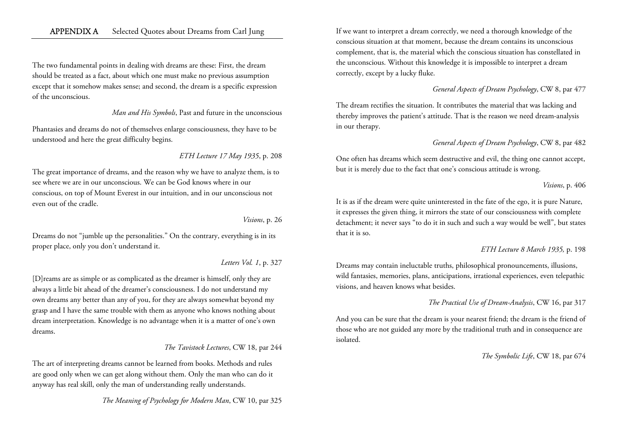### APPENDIX A Selected Quotes about Dreams from Carl Jung

The two fundamental points in dealing with dreams are these: First, the dream should be treated as a fact, about which one must make no previous assumption except that it somehow makes sense; and second, the dream is a specific expression of the unconscious.

#### Man and His Symbols, Past and future in the unconscious

Phantasies and dreams do not of themselves enlarge consciousness, they have to be understood and here the great difficulty begins.

ETH Lecture 17 May 1935, p. 208

The great importance of dreams, and the reason why we have to analyze them, is to see where we are in our unconscious. We can be God knows where in our conscious, on top of Mount Everest in our intuition, and in our unconscious not even out of the cradle.

#### Visions, p. 26

Dreams do not "jumble up the personalities." On the contrary, everything is in its proper place, only you don't understand it.

#### Letters Vol. 1, p. 327

[D]reams are as simple or as complicated as the dreamer is himself, only they are always a little bit ahead of the dreamer's consciousness. I do not understand my own dreams any better than any of you, for they are always somewhat beyond my grasp and I have the same trouble with them as anyone who knows nothing about dream interpretation. Knowledge is no advantage when it is a matter of one's own dreams.

#### The Tavistock Lectures, CW 18, par 244

The art of interpreting dreams cannot be learned from books. Methods and rules are good only when we can get along without them. Only the man who can do it anyway has real skill, only the man of understanding really understands.

The Meaning of Psychology for Modern Man, CW 10, par 325

If we want to interpret a dream correctly, we need a thorough knowledge of the conscious situation at that moment, because the dream contains its unconscious complement, that is, the material which the conscious situation has constellated in the unconscious. Without this knowledge it is impossible to interpret a dream correctly, except by a lucky fluke.

### General Aspects of Dream Psychology, CW 8, par 477

The dream rectifies the situation. It contributes the material that was lacking and thereby improves the patient's attitude. That is the reason we need dream-analysis in our therapy.

### General Aspects of Dream Psychology, CW 8, par 482

One often has dreams which seem destructive and evil, the thing one cannot accept, but it is merely due to the fact that one's conscious attitude is wrong.

#### Visions, p. 406

It is as if the dream were quite uninterested in the fate of the ego, it is pure Nature, it expresses the given thing, it mirrors the state of our consciousness with complete detachment; it never says "to do it in such and such a way would be well", but states that it is so.

### ETH Lecture 8 March 1935, p. 198

Dreams may contain ineluctable truths, philosophical pronouncements, illusions, wild fantasies, memories, plans, anticipations, irrational experiences, even telepathic visions, and heaven knows what besides.

### The Practical Use of Dream-Analysis, CW 16, par 317

And you can be sure that the dream is your nearest friend; the dream is the friend of those who are not guided any more by the traditional truth and in consequence are isolated.

The Symbolic Life, CW 18, par 674